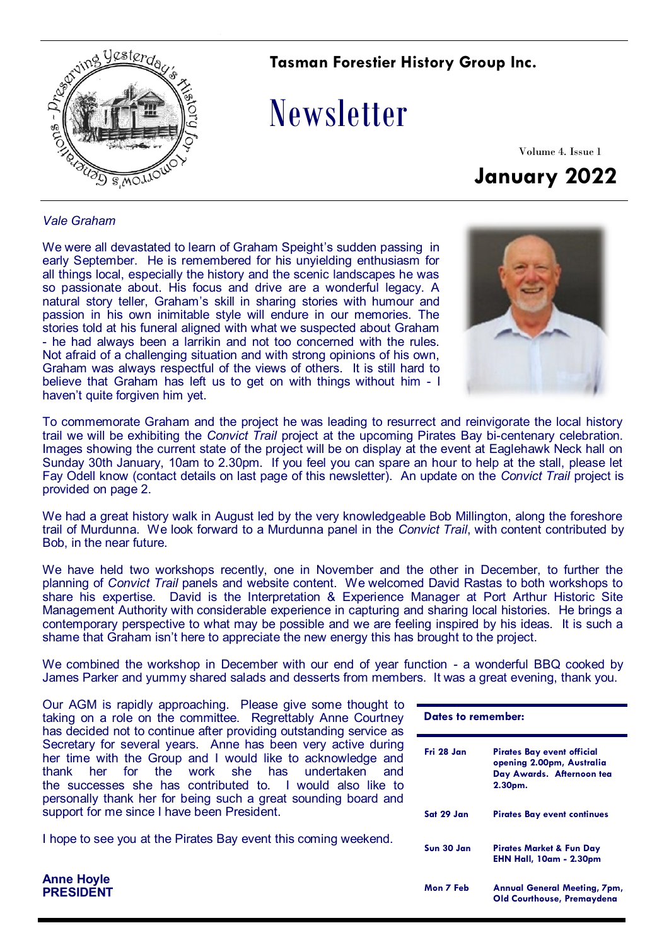

### **Tasman Forestier History Group Inc.**

# Newsletter

Volume 4. Issue 1 **January 2022**

#### *Vale Graham*

**Anne Hoyle PRESIDENT**

We were all devastated to learn of Graham Speight's sudden passing in early September. He is remembered for his unyielding enthusiasm for all things local, especially the history and the scenic landscapes he was so passionate about. His focus and drive are a wonderful legacy. A natural story teller, Graham's skill in sharing stories with humour and passion in his own inimitable style will endure in our memories. The stories told at his funeral aligned with what we suspected about Graham - he had always been a larrikin and not too concerned with the rules. Not afraid of a challenging situation and with strong opinions of his own, Graham was always respectful of the views of others. It is still hard to believe that Graham has left us to get on with things without him - I haven't quite forgiven him yet.



To commemorate Graham and the project he was leading to resurrect and reinvigorate the local history trail we will be exhibiting the *Convict Trail* project at the upcoming Pirates Bay bi-centenary celebration. Images showing the current state of the project will be on display at the event at Eaglehawk Neck hall on Sunday 30th January, 10am to 2.30pm. If you feel you can spare an hour to help at the stall, please let Fay Odell know (contact details on last page of this newsletter). An update on the *Convict Trail* project is provided on page 2.

We had a great history walk in August led by the very knowledgeable Bob Millington, along the foreshore trail of Murdunna. We look forward to a Murdunna panel in the *Convict Trail*, with content contributed by Bob, in the near future.

We have held two workshops recently, one in November and the other in December, to further the planning of *Convict Trail* panels and website content. We welcomed David Rastas to both workshops to share his expertise. David is the Interpretation & Experience Manager at Port Arthur Historic Site Management Authority with considerable experience in capturing and sharing local histories. He brings a contemporary perspective to what may be possible and we are feeling inspired by his ideas. It is such a shame that Graham isn't here to appreciate the new energy this has brought to the project.

We combined the workshop in December with our end of year function - a wonderful BBQ cooked by James Parker and yummy shared salads and desserts from members. It was a great evening, thank you.

Our AGM is rapidly approaching. Please give some thought to taking on a role on the committee. Regrettably Anne Courtney has decided not to continue after providing outstanding service as Secretary for several years. Anne has been very active during her time with the Group and I would like to acknowledge and thank her for the work she has undertaken and the successes she has contributed to. I would also like to personally thank her for being such a great sounding board and support for me since I have been President.

I hope to see you at the Pirates Bay event this coming weekend.

| Dates to remember: |                                                                                                 |
|--------------------|-------------------------------------------------------------------------------------------------|
| Fri 28 Jan         | Pirates Bay event official<br>opening 2.00pm, Australia<br>Day Awards. Afternoon tea<br>2.30pm. |
| Sat 29 Jan         | <b>Pirates Bay event continues</b>                                                              |
| Sun 30 Jan         | Pirates Market & Fun Day<br><b>EHN Hall, 10am - 2.30pm</b>                                      |
| Mon 7 Feb          | <b>Annual General Meeting, 7pm,</b><br><b>Old Courthouse, Premaydena</b>                        |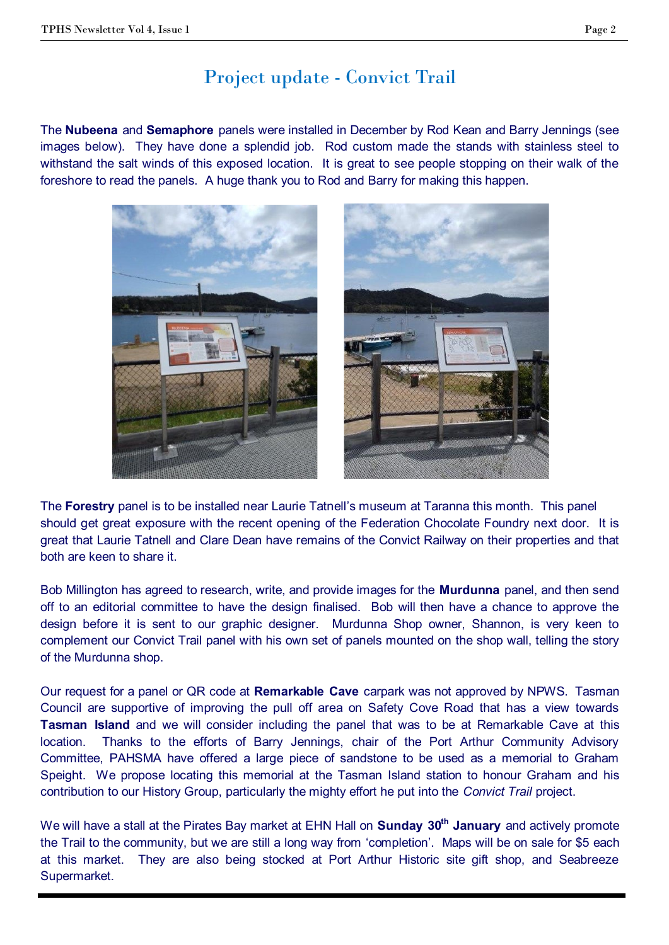## Project update - Convict Trail

The **Nubeena** and **Semaphore** panels were installed in December by Rod Kean and Barry Jennings (see images below). They have done a splendid job. Rod custom made the stands with stainless steel to withstand the salt winds of this exposed location. It is great to see people stopping on their walk of the foreshore to read the panels. A huge thank you to Rod and Barry for making this happen.



The **Forestry** panel is to be installed near Laurie Tatnell's museum at Taranna this month. This panel should get great exposure with the recent opening of the Federation Chocolate Foundry next door. It is great that Laurie Tatnell and Clare Dean have remains of the Convict Railway on their properties and that both are keen to share it.

Bob Millington has agreed to research, write, and provide images for the **Murdunna** panel, and then send off to an editorial committee to have the design finalised. Bob will then have a chance to approve the design before it is sent to our graphic designer. Murdunna Shop owner, Shannon, is very keen to complement our Convict Trail panel with his own set of panels mounted on the shop wall, telling the story of the Murdunna shop.

Our request for a panel or QR code at **Remarkable Cave** carpark was not approved by NPWS. Tasman Council are supportive of improving the pull off area on Safety Cove Road that has a view towards **Tasman Island** and we will consider including the panel that was to be at Remarkable Cave at this location. Thanks to the efforts of Barry Jennings, chair of the Port Arthur Community Advisory Committee, PAHSMA have offered a large piece of sandstone to be used as a memorial to Graham Speight. We propose locating this memorial at the Tasman Island station to honour Graham and his contribution to our History Group, particularly the mighty effort he put into the *Convict Trail* project.

We will have a stall at the Pirates Bay market at EHN Hall on **Sunday 30th January** and actively promote the Trail to the community, but we are still a long way from 'completion'. Maps will be on sale for \$5 each at this market. They are also being stocked at Port Arthur Historic site gift shop, and Seabreeze Supermarket.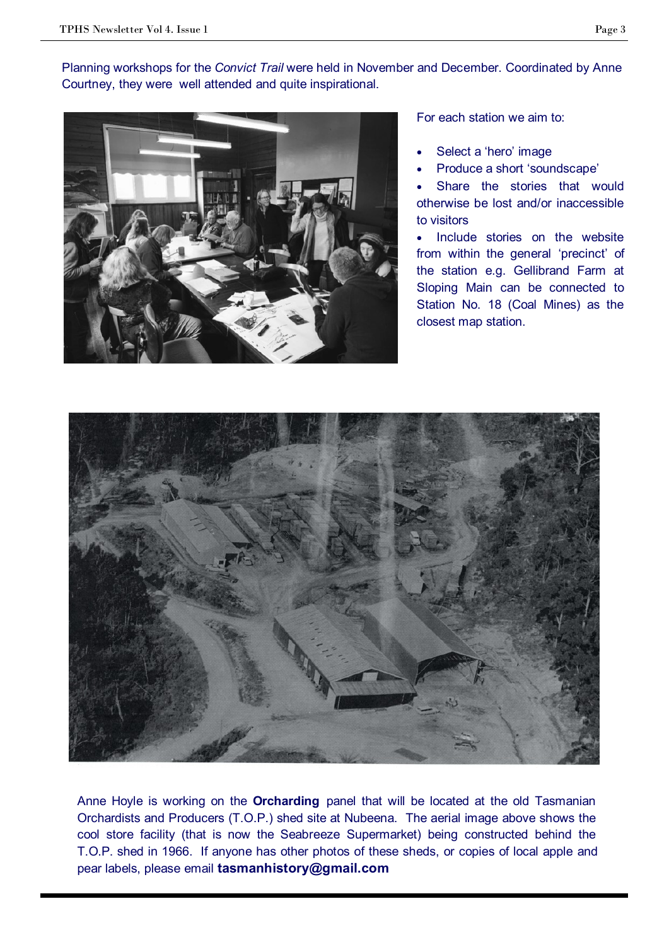Planning workshops for the *Convict Trail* were held in November and December. Coordinated by Anne Courtney, they were well attended and quite inspirational.



For each station we aim to:

- Select a 'hero' image
- Produce a short 'soundscape'
- Share the stories that would otherwise be lost and/or inaccessible to visitors

• Include stories on the website from within the general 'precinct' of the station e.g. Gellibrand Farm at Sloping Main can be connected to Station No. 18 (Coal Mines) as the closest map station.



Anne Hoyle is working on the **Orcharding** panel that will be located at the old Tasmanian Orchardists and Producers (T.O.P.) shed site at Nubeena. The aerial image above shows the cool store facility (that is now the Seabreeze Supermarket) being constructed behind the T.O.P. shed in 1966. If anyone has other photos of these sheds, or copies of local apple and pear labels, please email **tasmanhistory@gmail.com**